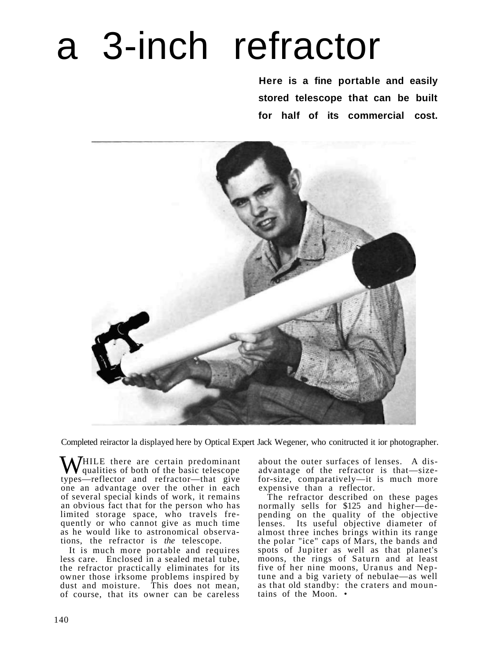## a 3-inch refractor

**Here is a fine portable and easily stored telescope that can be built for half of its commercial cost.** 



Completed reiractor la displayed here by Optical Expert Jack Wegener, who conitructed it ior photographer.

WHILE there are certain predominant<br>types reflector and refractor that give types—reflector and refractor—that give one an advantage over the other in each of several special kinds of work, it remains an obvious fact that for the person who has limited storage space, who travels frequently or who cannot give as much time as he would like to astronomical observations, the refractor is *the* telescope.

It is much more portable and requires less care. Enclosed in a sealed metal tube, the refractor practically eliminates for its owner those irksome problems inspired by dust and moisture. This does not mean, of course, that its owner can be careless about the outer surfaces of lenses. A disadvantage of the refractor is that—sizefor-size, comparatively—it is much more expensive than a reflector.

The refractor described on these pages normally sells for \$125 and higher—depending on the quality of the objective lenses. Its useful objective diameter of almost three inches brings within its range the polar "ice" caps of Mars, the bands and spots of Jupiter as well as that planet's moons, the rings of Saturn and at least five of her nine moons, Uranus and Neptune and a big variety of nebulae—as well as that old standby: the craters and mountains of the Moon. •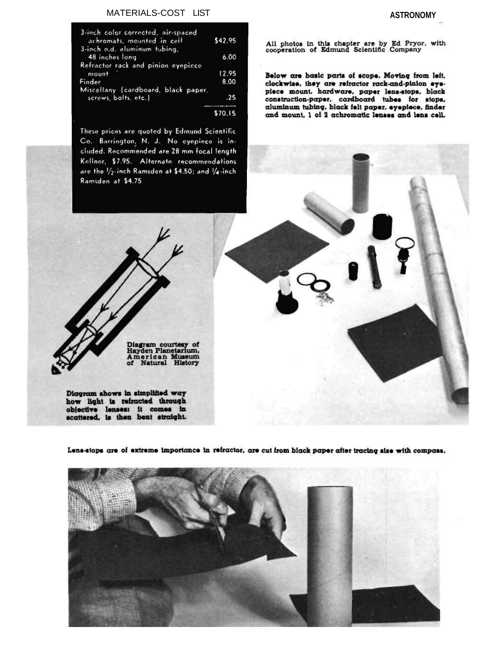## MATERIALS-COST LIST

| 3-inch color corrected, air-spaced<br>achromats, mounted in cell | \$42.95 |
|------------------------------------------------------------------|---------|
| 3-inch o.d. aluminum tubing,                                     |         |
| 48 inches long                                                   | 6.00    |
| Refractor rack and pinion evepiece                               |         |
| mount                                                            | 12.95   |
| Finder                                                           | 8.00    |
| Miscellany (cardboard, black paper,                              |         |
| screws, bolts, etc.)                                             | .25     |
|                                                                  |         |
|                                                                  |         |

**C7015** 

These prices are quoted by Edmund Scientific. Co. Barrington, N. J. No eyepiece is included. Recommended are 28 mm focal length Kellner, \$7.95. Alternate recommendations are the 1/2-inch Ramsden at \$4.50; and 1/4-inch Ramsden at \$4.75

**ASTRONOMY** 

All photos in this chapter are by Ed Pryor, with<br>cooperation of Edmund Scientific Company

Below are basic parts of scope. Moving from left. clockwise, they are refractor rack-and-pinion eyepiece mount. hardware, paper lens-stops, black construction-paper, cardboard tubes for stops, aluminum tubing, black felt paper, eyepiece, finder and mount. 1 of 2 achromatic lenses and lens cell.

Diagram courtesy of<br>Hayden Planetarium,<br>American Museum<br>of Natural History

Diagram shows in simplified way how light is refracted through objective lenses: it comes in scattered, is then bent straight.

Lens-stops are of extreme importance in refractor, are cut from black paper after tracing size with compass.

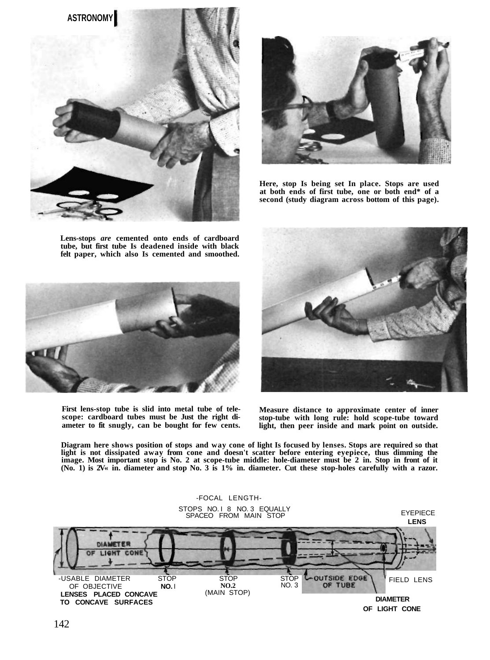



**Here, stop Is being set In place. Stops are used at both ends of first tube, one or both end\* of a second (study diagram across bottom of this page).** 

**Lens-stops** *are* **cemented onto ends of cardboard tube, but first tube Is deadened inside with black felt paper, which also Is cemented and smoothed.** 



**Measure distance to approximate center of inner stop-tube with long rule: hold scope-tube toward light, then peer inside and mark point on outside.** 

**Diagram here shows position of stops and way cone of light Is focused by lenses. Stops are required so that light is not dissipated away from cone and doesn't scatter before entering eyepiece, thus dimming the image. Most important stop is No. 2 at scope-tube middle: hole-diameter must be 2 in. Stop in front of it (No. 1) is 2V« in. diameter and stop No. 3 is 1% in. diameter. Cut these stop-holes carefully with a razor.** 





**First lens-stop tube is slid into metal tube of telescope: cardboard tubes must be Just the right diameter to fit snugly, can be bought for few cents.**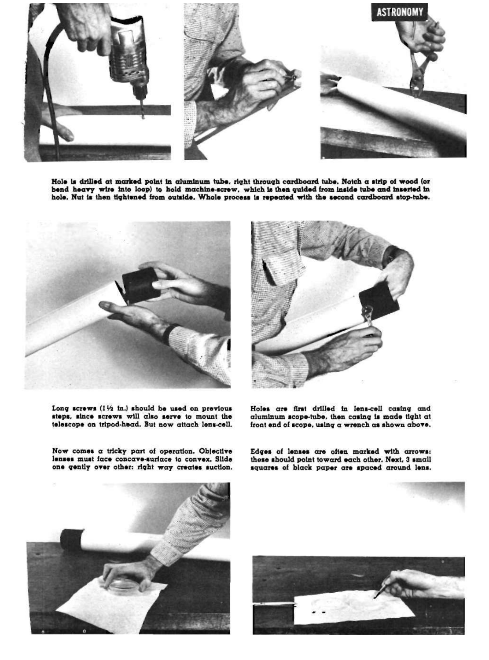

Hole is drilled at marked point in aluminum tube, right through cardboard tube. Notch a strip of wood (or bend heavy wire into loop) to hold machine-screw, which is then guided from inside tube and inserted in hole. Nut is then tightened from outside. Whole process is repeated with the second cardboard stop-tube.



Long screws (11/2 in.) should be used on previous steps, since screws will also serve to mount the telescope on tripod-head. But now attach lens-cell.



Holes are first drilled in lens-cell casing and aluminum scope-tube, then casing is made tight at front end of scope, using a wrench as shown above.

Now comes a tricky part of operation. Objective lenses must face concave-suriace to convex. Slide one gently over other: right way creates suction. Edges of lenses are often marked with arrows: these should point toward each other. Next, 3 small squares of black paper are spaced around lens.



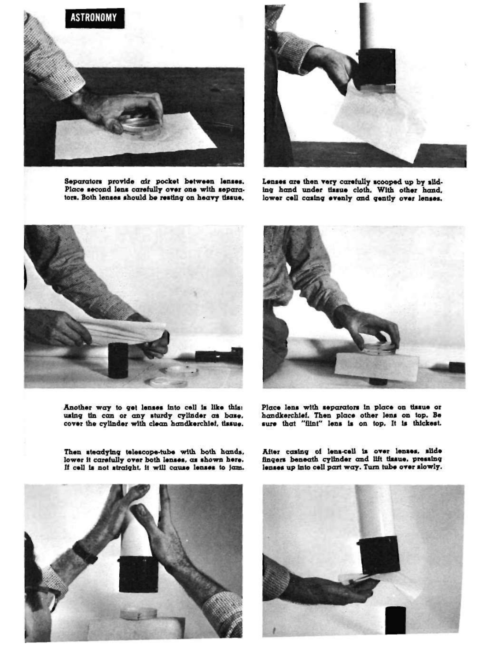

Separators provide air pocket between lenses. Place second lens carefully over one with separators. Both lenses should be resting on heavy tissue.



Lenses are then very carefully scooped up by sliding hand under tissue cloth. With other hand, lower cell casing evenly and gently over lenses.



Another way to get lenses into cell is like this: using tin can or any sturdy cylinder as base. cover the cylinder with clean handkerchief, tissue.



Place lens with separators in place on tissue or handkerchief. Then place other lens on top. Be sure that "fiint" lens is on top. It is thickest.

Then steadying telescope-tube with both hands. lower it carefully over both lenses, as shown here. If cell is not straight, it will cause lenses to jam.

After casing of lena-cell is over lenses, slide fingers beneath cylinder and lift tissue, pressing lenses up into cell part way. Turn tube over slowly.